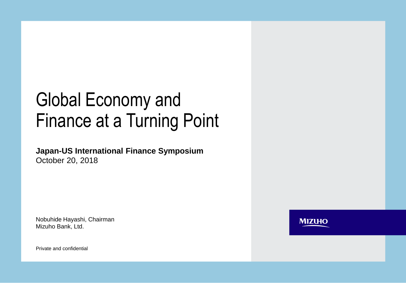# Global Economy and Finance at a Turning Point

**Japan-US International Finance Symposium**  October 20, 2018

Nobuhide Hayashi, Chairman Mizuho Bank, Ltd.

**MIZUHO** 

Private and confidential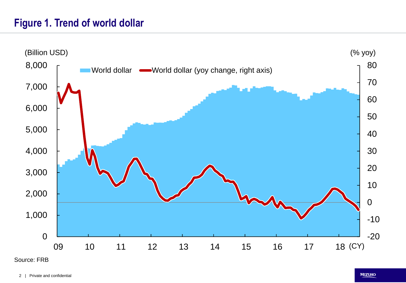# **Figure 1. Trend of world dollar**



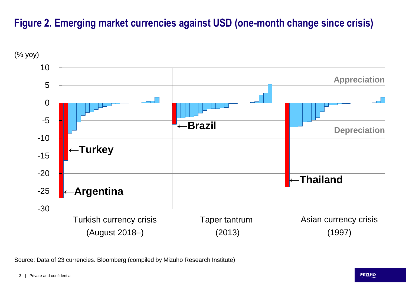# **Figure 2. Emerging market currencies against USD (one-month change since crisis)**



Source: Data of 23 currencies. Bloomberg (compiled by Mizuho Research Institute)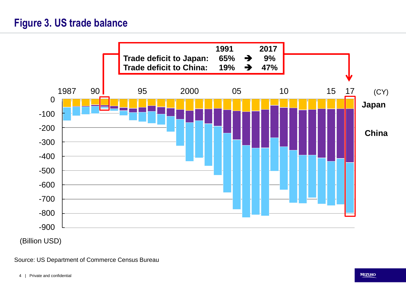# **Figure 3. US trade balance**



Source: US Department of Commerce Census Bureau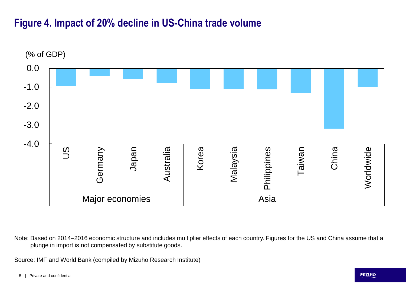### **Figure 4. Impact of 20% decline in US-China trade volume**



Note: Based on 2014–2016 economic structure and includes multiplier effects of each country. Figures for the US and China assume that a plunge in import is not compensated by substitute goods.

Source: IMF and World Bank (compiled by Mizuho Research Institute)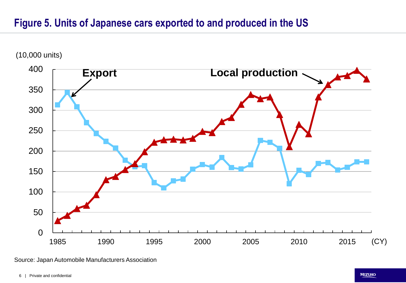# **Figure 5. Units of Japanese cars exported to and produced in the US**



(10,000 units)

Source: Japan Automobile Manufacturers Association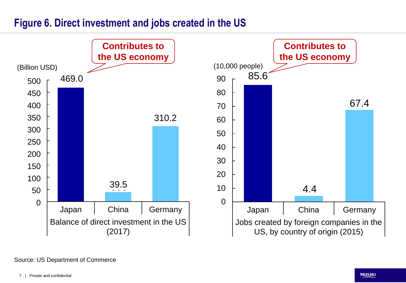### **Figure 6. Direct investment and jobs created in the US**



#### Source: US Department of Commerce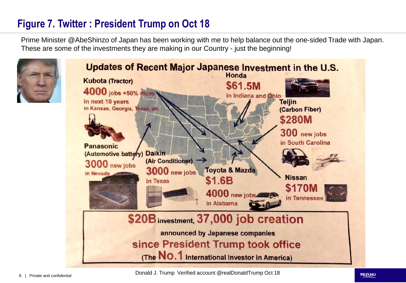# **Figure 7. Twitter : President Trump on Oct 18**

Prime Minister @AbeShinzo of Japan has been working with me to help balance out the one-sided Trade with Japan. These are some of the investments they are making in our Country - just the beginning!

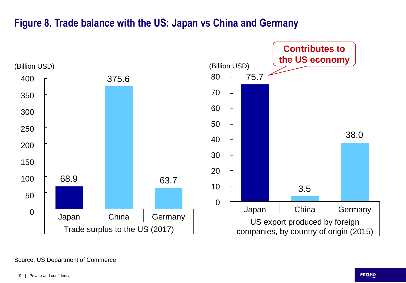### **Figure 8. Trade balance with the US: Japan vs China and Germany**



#### Source: US Department of Commerce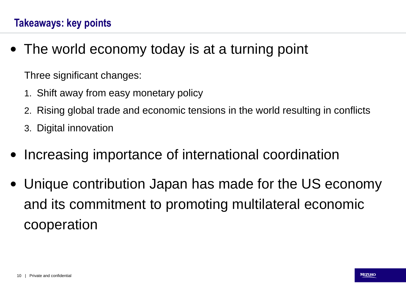• The world economy today is at a turning point

Three significant changes:

- 1. Shift away from easy monetary policy
- 2. Rising global trade and economic tensions in the world resulting in conflicts
- 3. Digital innovation
- Increasing importance of international coordination
- Unique contribution Japan has made for the US economy and its commitment to promoting multilateral economic cooperation